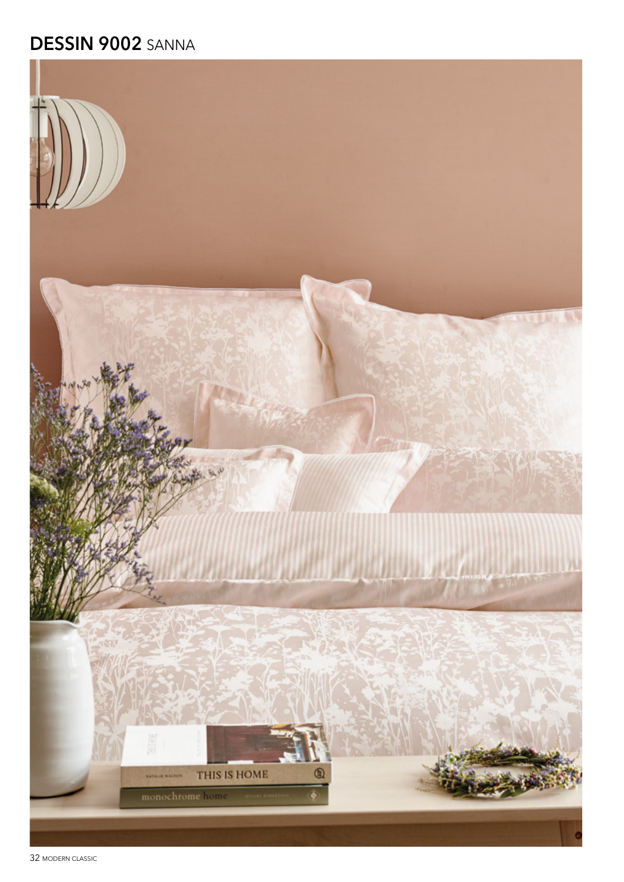## DESSIN 9002 SANNA